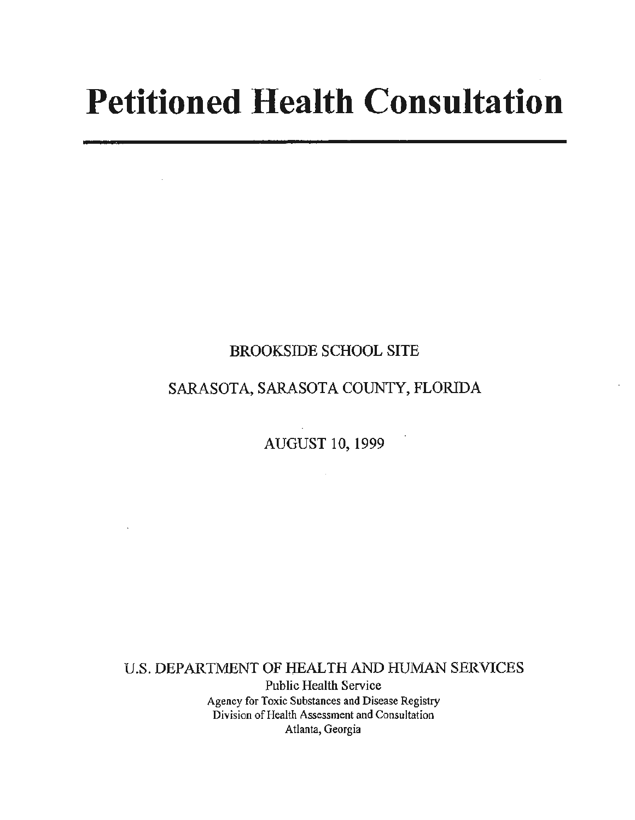# **Petitioned Health Consultation**

## BROOKSIDE SCHOOL SITE

# SARASOTA, SARASOTA COUNTY, FLORIDA

AUGUST 10, 1999

 $\sim 10^7$ 

U.S. DEPARTMENT OF HEALTH AND HUMAN SERVICES Public Health Service Agency for Toxic Substances and Disease Registry Division of Health Assessment and Consultation Atlanta, Georgia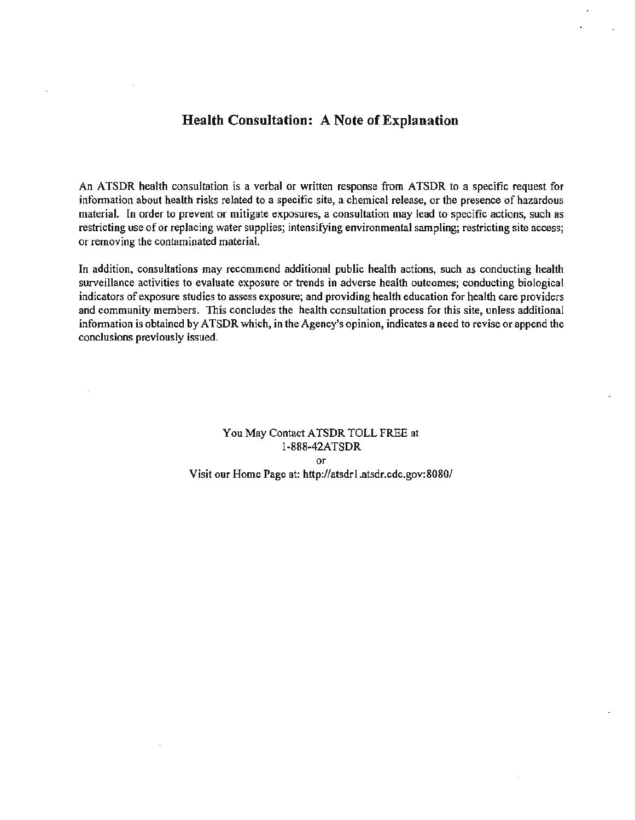## **Health Consultation: A Note of Explanation**

An ATSDR health consultation is a verbal or written response from ATSDR to a specific request for information about health risks related to a specific site, a chemical release, or the presence of hazardous material. In order to prevent or mitigate exposures, a consultation may lead to specific actions, such as restricting use of or replacing water supplies; intensifying environmental sampling; restricting site access; or removing the contaminated material.

In addition, consultations may recommend additional public health actions, such as conducting health surveillance activities to evaluate exposure or trends in adverse health outcomes; conducting biological indicators of exposure studies to assess exposure; and providing health education for health care providers and community members. This concludes the health consultation process for this site, unless additional information is obtained by ATSDR which, in the Agency's opinion, indicates a need to revise or append the conclusions previously issued.

> You May Contact A TSDR TOLL FREE at 1-888-42ATSDR or Visit our Home Page at: http://atsdr l.atsdr.cdc.gov:8080/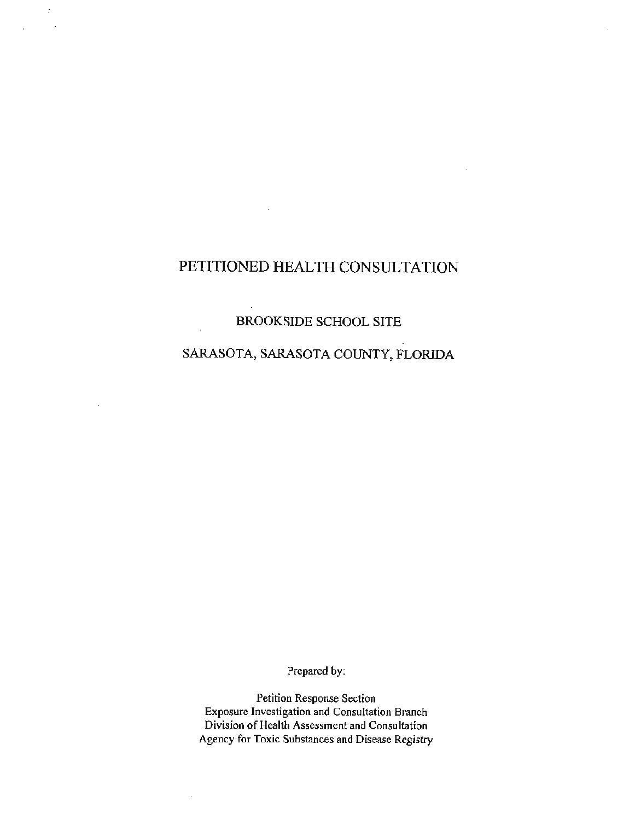## PETITIONED HEALTH CONSULTATION

 $\mathcal{I}$ 

## BROOKSIDE SCHOOL SITE

## SARASOTA, SARASOTA COUNTY, FLORIDA

Prepared by:

Petition Response Section Exposure Investigation and Consultation Branch Division of Health Assessment and Consultation Agency for Toxic Substances and Disease Registry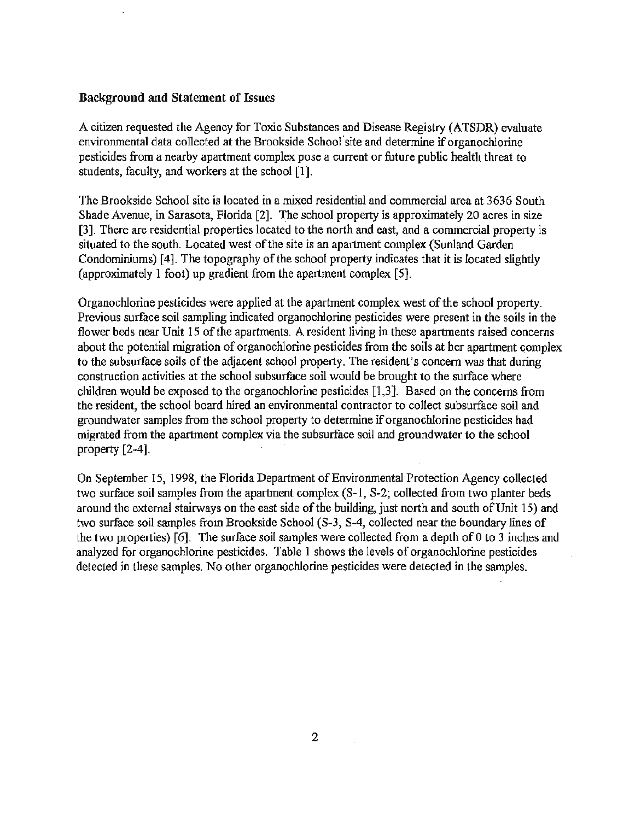#### **Background and Statement of** Issues

A citizen requested the Agency for Toxic Substances and Disease Registry (ATSDR) evaluate environmental data collected at the Brookside School· site and determine if organochlorine pesticides from a nearby apartment complex pose a current or future public health threat to students, faculty, and workers at the school [1].

The Brookside School site is located in a mixed residential and commercial area at 3636 South Shade Avenue, in Sarasota, Florida [2]. The school property is approximately 20 acres in size [3]. There are residential properties located to the north and east, and a commercial property is situated to the south. Located west of the site is an apartment complex (Sunland Garden Condominiums) [4]. The topography of the school property indicates that it is located slightly (approximately 1 foot) up gradient from the apartment complex [5].

Organochlorine pesticides were applied at the apartment complex west of the school property. Previous surface soil sampling indicated organochlorine pesticides were present in the soils in the flower beds near Unit 15 of the apartments. A resident living in these apartments raised concerns about the potential migration of organochlorine pesticides from the soils at her apartment complex to the subsurface soils of the adjacent school property. The resident's concern was that during construction activities at the school subsurface soil would be brought to the surface where children would be exposed to the organochlorine pesticides [1,3]. Based on the concerns from the resident, the school board hired an environmental contractor to collect subsurface soil and groundwater samples from the school property to determine if organochlorine pesticides had migrated from the apartment complex via the subsurface soil and groundwater to the school property  $[2-4]$ .

On September 15, 1998, the Florida Department of Environmental Protection Agency collected two surface soil samples from the apartment complex (S-1, S-2; collected from two planter beds around the external stairways on the east side of the building, just north and south of Unit 15) and two surface soil samples from Brookside School (S-3, S-4, collected near the boundary lines of the two properties) [ 6]. The surface soil samples were collected from a depth of 0 to 3 inches and analyzed for organochlorine pesticides. Table 1 shows the levels of organochlorine pesticides detected in these samples. No other organochlorine pesticides were detected in the samples.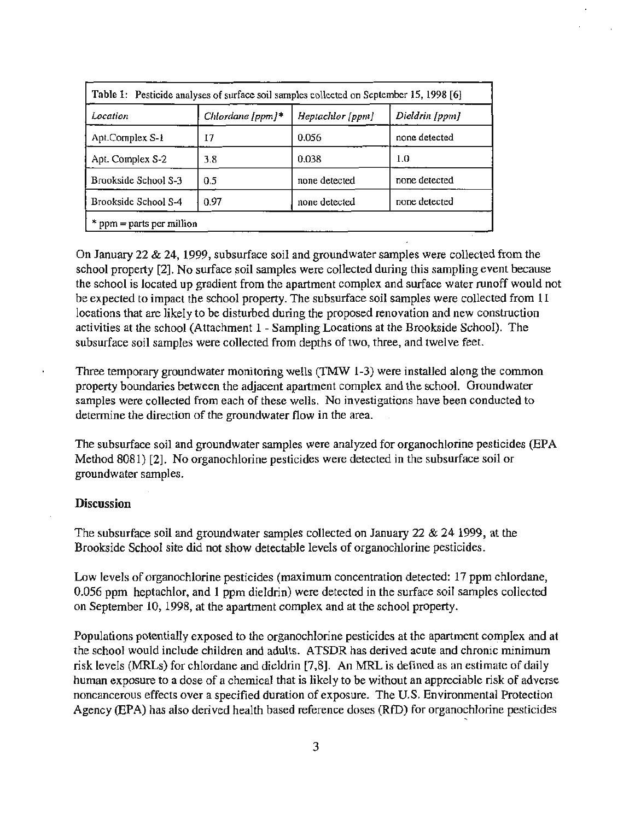| Location             | Chlordane [ppm] $*$ | Heptachlor [ppm] | Dieldrin [ppm] |
|----------------------|---------------------|------------------|----------------|
| Apt.Complex S-1      | 17                  | 0.056            | none detected  |
| Apt. Complex S-2     | 3.8                 | 0.038            | 1.0            |
| Brookside School S-3 | 0.5                 | none detected    | none detected  |
| Brookside School S-4 | 0.97                | none detected    | none detected  |

On January 22 & 24, 1999, subsurface soil and groundwater samples were collected from the school property [2]. No surface soil samples were collected during this sampling event because the school is located up gradient from the apartment complex and surface water runoff would not be expected to impact the school property. The subsurface soil samples were collected from 11 locations that are likely to be disturbed during the proposed renovation and new construction activities at the school (Attachment 1 - Sampling Locations at the Brookside School). The subsurface soil samples were collected from depths of two, three, and twelve feet.

Three temporary groundwater monitoring wells (TMW 1-3) were installed along the common property boundaries between the adjacent apartment complex and the school. Groundwater samples were collected from each of these wells. No investigations have been conducted to determine the direction of the groundwater flow in the area.

The subsurface soil and groundwater samples were analyzed for organochlorine pesticides (EPA Method 8081) [2]. No organochlorine pesticides were detected in the subsurface soil or groundwater samples.

#### **Discussion**

The subsurface soil and groundwater samples collected on January 22 & 24 1999, at the Brookside School site did not show detectable levels of organochlorine pesticides.

Low levels of organochlorine pesticides (maximum concentration detected: 17 ppm chlordane, 0.056 ppm heptachlor, and 1 ppm dieldrin) were detected in the surface soil samples collected on September 10, 1998, at the apartment complex and at the school property.

Populations potentially exposed to the organochlorine pesticides at the apartment complex and at the school would include children and adults. ATSDR has derived acute and chronic minimum risk levels (MRLs) for chlordane and dieldrin [7,8]. An MRL is defined as an estimate of daily human exposure to a dose of a chemical that is likely to be without an appreciable risk of adverse noncancerous effects over a specified duration of exposure. The U.S. Environmental Protection Agency (EPA) has also derived health based reference doses (RID) for organochlorine pesticides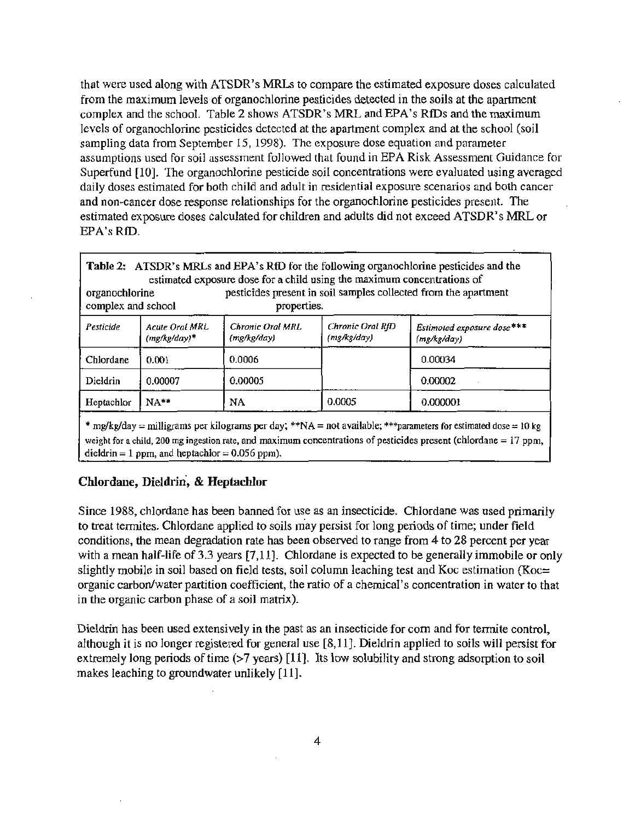that were used along with ATSDR's MRLs to compare the estimated exposure doses calculated from the maximum levels of organochlorine pesticides detected in the soils at the apartment complex and the school. Table 2 shows ATSDR's MRL and EPA's RfDs and the maximum levels of organochlorine pesticides detected at the apartment complex and at the school (soil sampling data from September 15, 1998). The exposure dose equation and parameter assumptions used for soil assessment followed that found in EPA Risk Assessment Guidance for Superfund [10]. The organochlorine pesticide soil concentrations were evaluated using averaged daily doses estimated for both child and adult in residential exposure scenarios and both cancer and non-cancer dose response relationships for the organochlorine pesticides present. The estimated exposure doses calculated for children and adults did not exceed ATSDR's MRL or EPA's RID.

| <b>Table 2:</b> ATSDR's MRLs and EPA's RfD for the following organochlorine pesticides and the<br>estimated exposure dose for a child using the maximum concentrations of<br>pesticides present in soil samples collected from the apartment<br>organochlorine<br>complex and school<br>properties. |                                  |                                 |                                 |                                           |  |
|-----------------------------------------------------------------------------------------------------------------------------------------------------------------------------------------------------------------------------------------------------------------------------------------------------|----------------------------------|---------------------------------|---------------------------------|-------------------------------------------|--|
| Pesticide                                                                                                                                                                                                                                                                                           | Acute Oral MRL<br>$(mg/kg/day)*$ | Chronic Oral MRL<br>(mg/kg/day) | Chronic Oral RfD<br>(mg/kg/day) | Estimoted exposure dose***<br>(mg/kg/day) |  |
| Chlordane                                                                                                                                                                                                                                                                                           | 0.001                            | 0.0006                          |                                 | 0.00034                                   |  |
| Dieldrin                                                                                                                                                                                                                                                                                            | 0.00007                          | 0.00005                         |                                 | 0.00002                                   |  |
| Heptachlor                                                                                                                                                                                                                                                                                          | $NA**$                           | <b>NA</b>                       | 0.0005                          | 0.000001                                  |  |

\* mg/kg/day = milligrams per kilograms per day; \*\*NA = not available; \*\*\*parameters for estimated dose = 10 kg weight for a child, 200 mg ingestion rate, and maximum concentrations of pesticides present (chlordane *=* 17 ppm, dieldrin  $= 1$  ppm, and heptachlor  $= 0.056$  ppm).

#### Chlordane, Dieldrin, & Heptachlor

Since 1988, chlordane has been banned for use as an insecticide. Chlordane was used primarily to treat termites. Chlordane applied to soils may persist for long periods of time; under field conditions, the mean degradation rate has been observed to range from 4 to 28 percent per year with a mean half-life of 3.3 years [7,11]. Chlordane is expected to be generally immobile or only slightly mobile in soil based on field tests, soil column leaching test and Koc estimation (Koc= organic carbon/water partition coefficient, the ratio of a chemical's concentration in water to that in the organic carbon phase of a soil matrix).

Dieldrin has been used extensively in the past as an insecticide for com and for termite control, although it is no longer registered for general use [8,11]. Dieldrin applied to soils will persist for extremely long periods of time (>7 years) [11]. Its low solubility and strong adsorption to soil makes leaching to groundwater unlikely [11].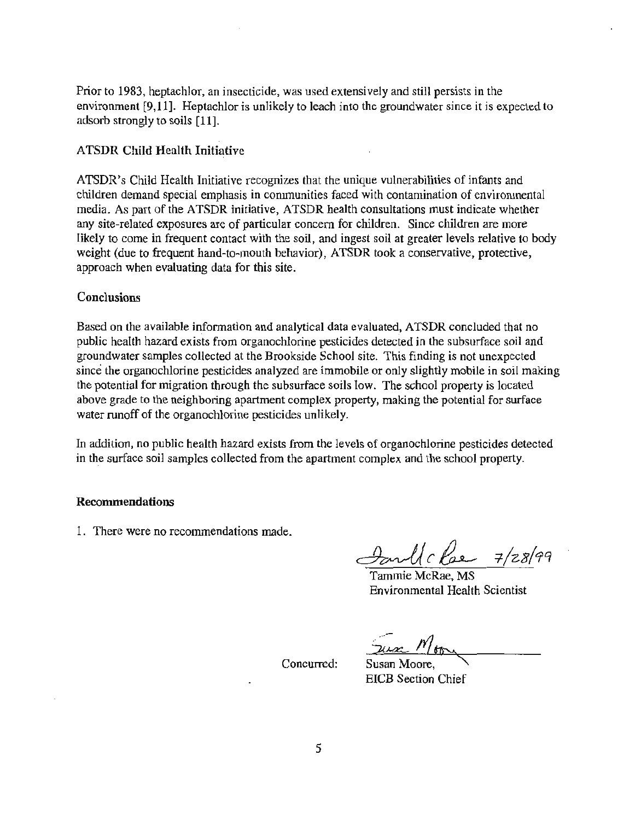Prior to 1983, heptachlor, an insecticide, was used extensively and still persists in the environment [9,11]. Heptachlor is unlikely to leach into the groundwater since it is expected to adsorb strongly to soils [11].

## ATSDR Child Health Initiative

ATSDR's Child Health Initiative recognizes that the unique vulnerabilities of infants and children demand special emphasis in communities faced with contamination of environmental media. As part of the ATSDR initiative, ATSDR health consultations must indicate whether any site-related exposures are of particular concern for children. Since children are more likely to come in frequent contact with the soil, and ingest soil at greater levels relative to body weight (due to frequent hand-to-mouth behavior), ATSDR took a conservative, protective, approach when evaluating data for this site.

#### Conclusions

Based on the available information and analytical data evaluated, ATSDR concluded that no public health hazard exists from organochlorine pesticides detected in the subsurface soil and groundwater samples collected at the Brookside School site. This finding is not unexpected since the organochlorine pesticides analyzed are immobile or only slightly mobile in soil making the potential for migration through the subsurface soils low. The school property is located above grade to the neighboring apartment complex property, making the potential for surface water runoff of the organochlorine pesticides unlikely.

In addition, no public health hazard exists from the levels of organochlorine pesticides detected in the surface soil samples collected from the apartment complex and the school property.

#### Recommendations

1. There were no recommendations made.

~ *c* ~ *=t-/zg(t:rq* 

Tammie McRae, MS Environmental Health Scientist

 $\frac{\gamma_{\text{max}} N}{\text{Susan Moore}}$ 

Concurred:

EICB Section Chief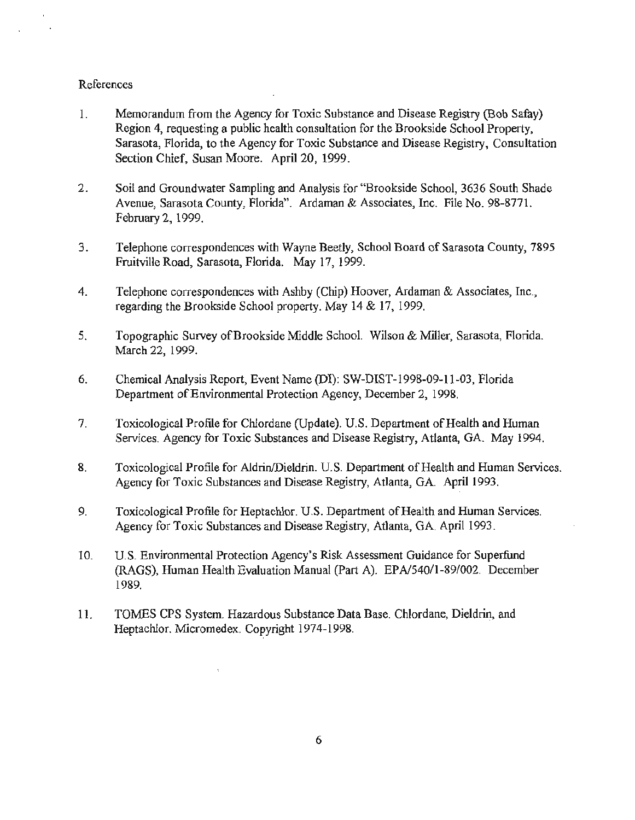#### References

- 1. Memorandum from the Agency for Toxic Substance and Disease Registry (Bob Safay) Region 4, requesting a public health consultation for the Brookside School Property, Sarasota, Florida, to the Agency for Toxic Substance and Disease Registry, Consultation Section Chief, Susan Moore. April 20, 1999.
- 2. Soil and Groundwater Sampling and Analysis for "Brookside School, 3636 South Shade Avenue, Sarasota County, Florida". Ardaman & Associates, Inc. File No. 98-8771. February 2, 1999.
- 3. Telephone correspondences with Wayne Beedy, School Board of Sarasota County, 7895 Fruitville Road, Sarasota, Florida. May 17, 1999.
- 4. Telephone correspondences with Ashby (Chip) Hoover, Ardaman & Associates, Inc., regarding the Brookside School property. May 14 & 17, 1999.
- 5. Topographic Survey of Brookside Middle School. Wilson & Miller, Sarasota, Florida. March 22, 1999.
- 6. Chemical Analysis Report, Event Name (DI): SW-DIST-1998-09-11-03, Florida Department of Environmental Protection Agency, December 2, 1998.
- 7. Toxicological Profile for Chlordane (Update). U.S. Department of Health and Human Services. Agency for Toxic Substances and Disease Registry, Atlanta, GA. May 1994.
- 8. Toxicological Profile for Aldrin/Dieldrin. U.S. Department of Health and Human Services. Agency for Toxic Substances and Disease Registry, Atlanta, GA. April 1993.
- 9. Toxicological Profile for Heptachlor. U.S. Department of Health and Human Services. Agency for Toxic Substances and Disease Registry, Atlanta, GA. April 1993.
- 10. U.S. Environmental Protection Agency's Risk Assessment Guidance for Superfund (RAGS), Human Health Evaluation Manual (Part A). EP A/540/1-89/002. December 1989.
- 11. TOMES CPS System. Hazardous Substance Data Base. Chlordane, Dieldrin, and Heptachlor. Micromedex. Copyright 1974-1998.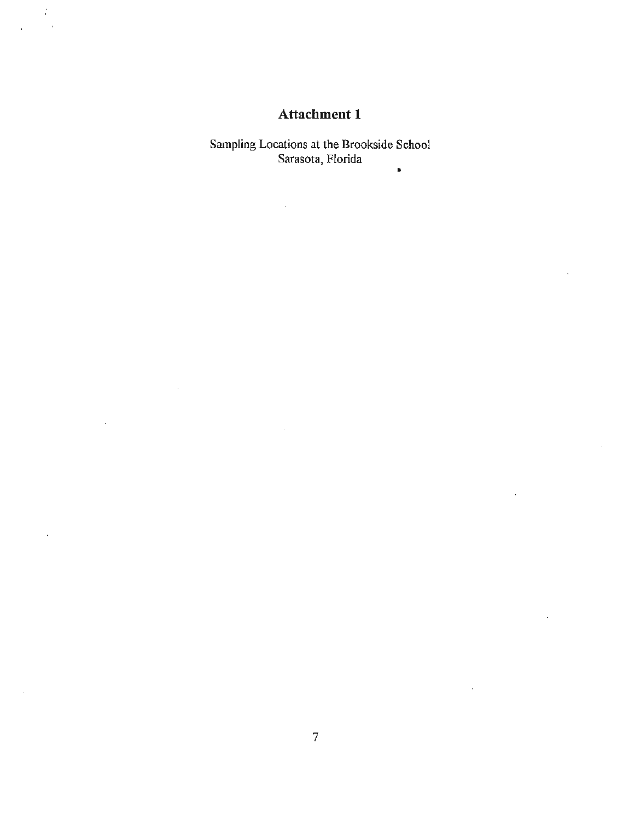# **Attachment 1**

 $\frac{1}{2}$  $\bar{1}$ 

> Sampling Locations at the Brookside School Sarasota, Florida ..

> > l,

 $\overline{a}$ 

 $\mathbf{r}$ 

 $\ddot{\phantom{a}}$ 

l.